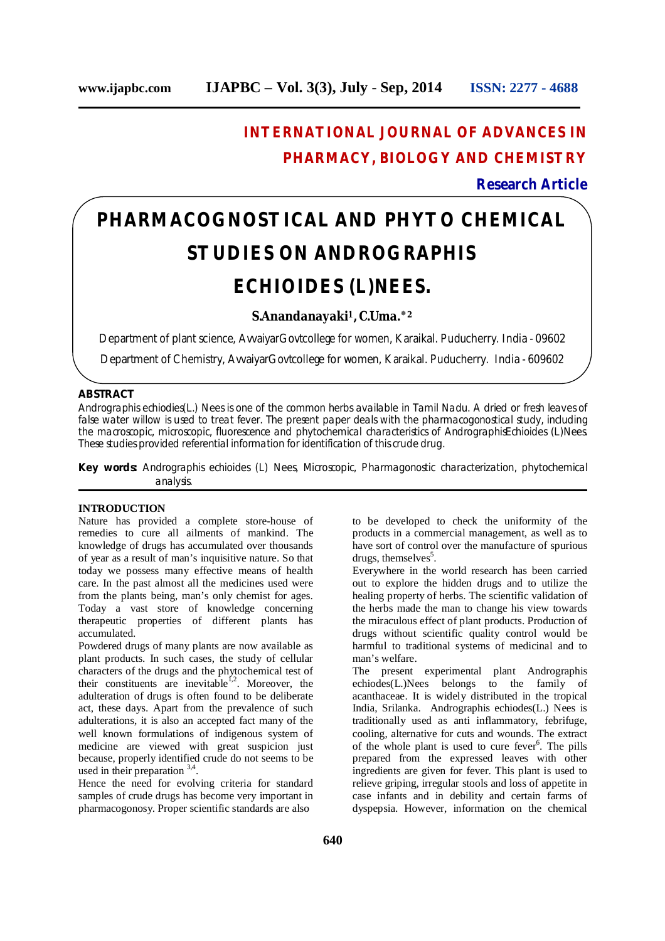# **INTERNATIONAL JOURNAL OF ADVANCES IN PHARMACY, BIOLOGY AND CHEMISTRY**

# **Research Article**

# **PHARMACOGNOSTICAL AND PHYTO CHEMICAL STUDIES ON ANDROGRAPHIS ECHIOIDES (L)NEES.**

## **S.Anandanayaki <sup>1</sup>, C.Uma.**٭**<sup>2</sup>**

Department of plant science, AvvaiyarGovtcollege for women, Karaikal. Puducherry. India - 09602

Department of Chemistry, AvvaiyarGovtcollege for women, Karaikal. Puducherry. India - 609602

#### **ABSTRACT**

Andrographis echiodies(L.) Nees is one of the common herbs available in Tamil Nadu. A dried or fresh leaves of false water willow is used to treat fever. The present paper deals with the pharmacogonostical study, including the macroscopic, microscopic, fluorescence and phytochemical characteristics of AndrographisEchioides (L)Nees. These studies provided referential information for identification of this crude drug.

**Key words:** Andrographis echioides (L) Nees, Microscopic, Pharmagonostic characterization, phytochemical analysis.

## **INTRODUCTION**

Nature has provided a complete store-house of remedies to cure all ailments of mankind. The knowledge of drugs has accumulated over thousands of year as a result of man's inquisitive nature. So that today we possess many effective means of health care. In the past almost all the medicines used were from the plants being, man's only chemist for ages. Today a vast store of knowledge concerning therapeutic properties of different plants has accumulated.

Powdered drugs of many plants are now available as plant products. In such cases, the study of cellular characters of the drugs and the phytochemical test of their constituents are inevitable<sup>1,2</sup>. Moreover, the adulteration of drugs is often found to be deliberate act, these days. Apart from the prevalence of such adulterations, it is also an accepted fact many of the well known formulations of indigenous system of medicine are viewed with great suspicion just because, properly identified crude do not seems to be used in their preparation 3,4.

Hence the need for evolving criteria for standard samples of crude drugs has become very important in pharmacogonosy. Proper scientific standards are also

to be developed to check the uniformity of the products in a commercial management, as well as to have sort of control over the manufacture of spurious drugs, themselves<sup>5</sup>.

Everywhere in the world research has been carried out to explore the hidden drugs and to utilize the healing property of herbs. The scientific validation of the herbs made the man to change his view towards the miraculous effect of plant products. Production of drugs without scientific quality control would be harmful to traditional systems of medicinal and to man's welfare.

The present experimental plant Andrographis echiodes(L.)Nees belongs to the family of acanthaceae. It is widely distributed in the tropical India, Srilanka. Andrographis echiodes(L.) Nees is traditionally used as anti inflammatory, febrifuge, cooling, alternative for cuts and wounds. The extract of the whole plant is used to cure fever 6 . The pills prepared from the expressed leaves with other ingredients are given for fever. This plant is used to relieve griping, irregular stools and loss of appetite in case infants and in debility and certain farms of dyspepsia. However, information on the chemical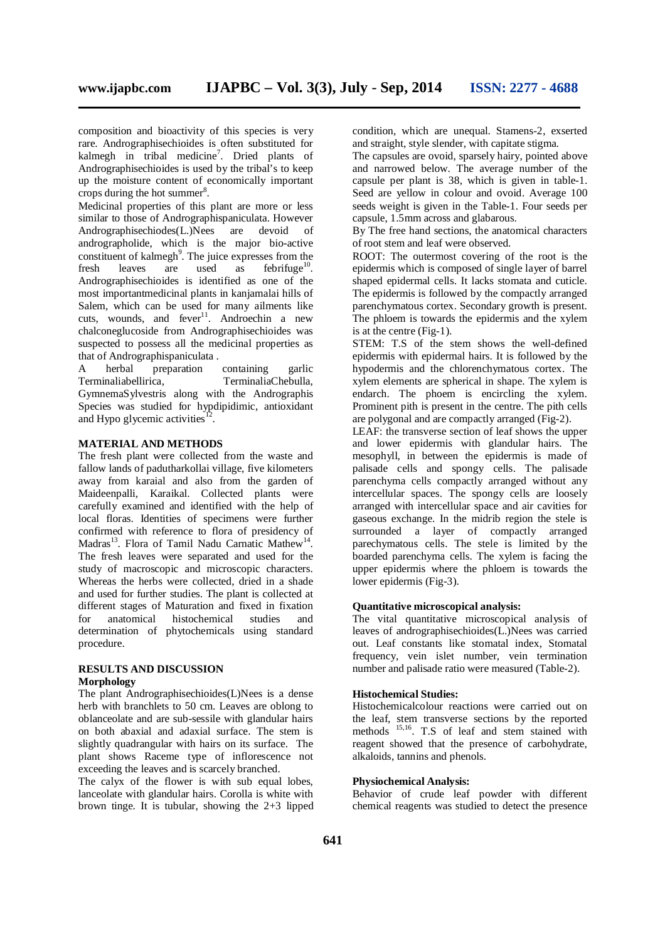composition and bioactivity of this species is very rare. Andrographisechioides is often substituted for kalmegh in tribal medicine<sup>7</sup>. Dried plants of Andrographisechioides is used by the tribal's to keep up the moisture content of economically important crops during the hot summer 8 .

Medicinal properties of this plant are more or less similar to those of Andrographispaniculata. However Andrographisechiodes(L.)Nees are devoid of andrographolide, which is the major bio-active constituent of kalmegh<sup>9</sup>. The juice expresses from the fresh leaves are used as febrifuge<sup>10</sup>. Andrographisechioides is identified as one of the most importantmedicinal plants in kanjamalai hills of Salem, which can be used for many ailments like cuts, wounds, and fever<sup>11</sup>. Androechin a new chalconeglucoside from Andrographisechioides was suspected to possess all the medicinal properties as that of Andrographispaniculata.<br>A herbal preparation

A herbal preparation containing garlic Terminaliabellirica, TerminaliaChebulla, GymnemaSylvestris along with the Andrographis Species was studied for hypdipidimic, antioxidant and Hypo glycemic activities<sup>12</sup> .

#### **MATERIAL AND METHODS**

The fresh plant were collected from the waste and fallow lands of padutharkollai village, five kilometers away from karaial and also from the garden of Maideenpalli, Karaikal. Collected plants were carefully examined and identified with the help of local floras. Identities of specimens were further confirmed with reference to flora of presidency of Madras<sup>13</sup>. Flora of Tamil Nadu Carnatic Mathew<sup>14</sup>. The fresh leaves were separated and used for the study of macroscopic and microscopic characters. Whereas the herbs were collected, dried in a shade and used for further studies. The plant is collected at different stages of Maturation and fixed in fixation for anatomical histochemical studies and determination of phytochemicals using standard procedure.

# **RESULTS AND DISCUSSION**

# **Morphology**

The plant Andrographisechioides(L)Nees is a dense herb with branchlets to 50 cm. Leaves are oblong to oblanceolate and are sub-sessile with glandular hairs on both abaxial and adaxial surface. The stem is slightly quadrangular with hairs on its surface. The plant shows Raceme type of inflorescence not exceeding the leaves and is scarcely branched.

The calyx of the flower is with sub equal lobes, lanceolate with glandular hairs. Corolla is white with brown tinge. It is tubular, showing the  $2+3$  lipped condition, which are unequal. Stamens-2, exserted and straight, style slender, with capitate stigma.

The capsules are ovoid, sparsely hairy, pointed above and narrowed below. The average number of the capsule per plant is 38, which is given in table-1. Seed are yellow in colour and ovoid. Average 100 seeds weight is given in the Table-1. Four seeds per capsule, 1.5mm across and glabarous.

By The free hand sections, the anatomical characters of root stem and leaf were observed.

ROOT: The outermost covering of the root is the epidermis which is composed of single layer of barrel shaped epidermal cells. It lacks stomata and cuticle. The epidermis is followed by the compactly arranged parenchymatous cortex. Secondary growth is present. The phloem is towards the epidermis and the xylem is at the centre (Fig-1).

STEM: T.S of the stem shows the well-defined epidermis with epidermal hairs. It is followed by the hypodermis and the chlorenchymatous cortex. The xylem elements are spherical in shape. The xylem is endarch. The phoem is encircling the xylem. Prominent pith is present in the centre. The pith cells are polygonal and are compactly arranged (Fig-2).

LEAF: the transverse section of leaf shows the upper and lower epidermis with glandular hairs. The mesophyll, in between the epidermis is made of palisade cells and spongy cells. The palisade parenchyma cells compactly arranged without any intercellular spaces. The spongy cells are loosely arranged with intercellular space and air cavities for gaseous exchange. In the midrib region the stele is surrounded a layer of compactly arranged parechymatous cells. The stele is limited by the boarded parenchyma cells. The xylem is facing the upper epidermis where the phloem is towards the lower epidermis (Fig-3).

#### **Quantitative microscopical analysis:**

The vital quantitative microscopical analysis of leaves of andrographisechioides(L.)Nees was carried out. Leaf constants like stomatal index, Stomatal frequency, vein islet number, vein termination number and palisade ratio were measured (Table-2).

## **Histochemical Studies:**

Histochemicalcolour reactions were carried out on the leaf, stem transverse sections by the reported methods <sup>15,16</sup>. T.S of leaf and stem stained with reagent showed that the presence of carbohydrate, alkaloids, tannins and phenols.

#### **Physiochemical Analysis:**

Behavior of crude leaf powder with different chemical reagents was studied to detect the presence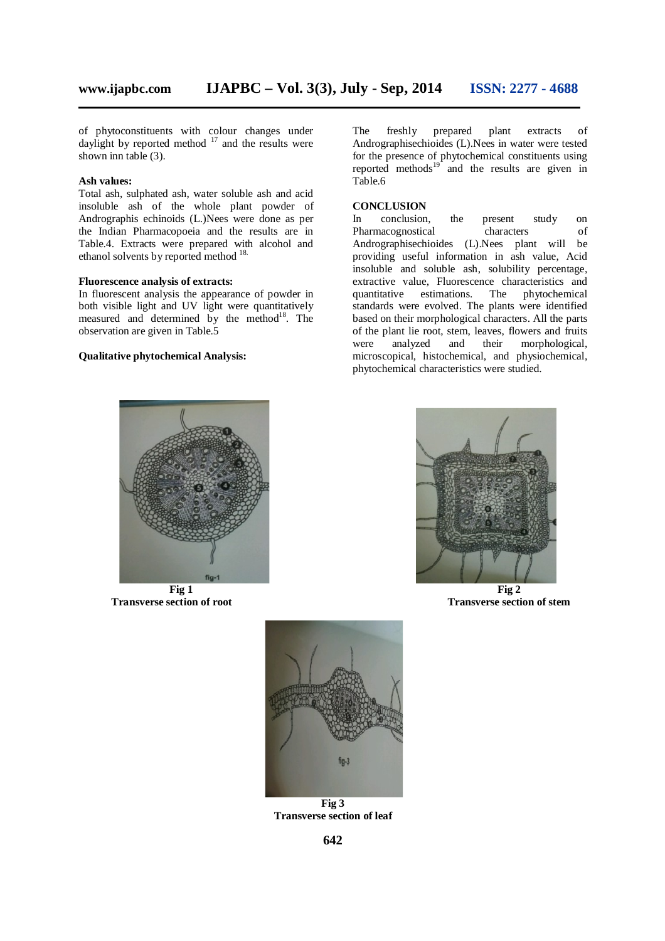of phytoconstituents with colour changes under daylight by reported method  $17$  and the results were shown inn table (3).

#### **Ash values:**

Total ash, sulphated ash, water soluble ash and acid insoluble ash of the whole plant powder of Andrographis echinoids (L.)Nees were done as per the Indian Pharmacopoeia and the results are in Table.4. Extracts were prepared with alcohol and ethanol solvents by reported method <sup>18.</sup>

#### **Fluorescence analysis of extracts:**

In fluorescent analysis the appearance of powder in both visible light and UV light were quantitatively measured and determined by the method<sup>18</sup>. The observation are given in Table.5

#### **Qualitative phytochemical Analysis:**

The freshly prepared plant extracts of Andrographisechioides (L).Nees in water were tested for the presence of phytochemical constituents using reported methods $19^{\circ}$  and the results are given in Table.6

#### **CONCLUSION**

In conclusion, the present study on Pharmacognostical characters of Andrographisechioides (L).Nees plant will be providing useful information in ash value, Acid insoluble and soluble ash, solubility percentage, extractive value, Fluorescence characteristics and quantitative estimations. The phytochemical standards were evolved. The plants were identified based on their morphological characters. All the parts of the plant lie root, stem, leaves, flowers and fruits<br>were analyzed and their morphological, were analyzed and their morphological, microscopical, histochemical, and physiochemical, phytochemical characteristics were studied.



**Transverse section of root Transverse section of stem**





**Fig 3 Transverse section of leaf**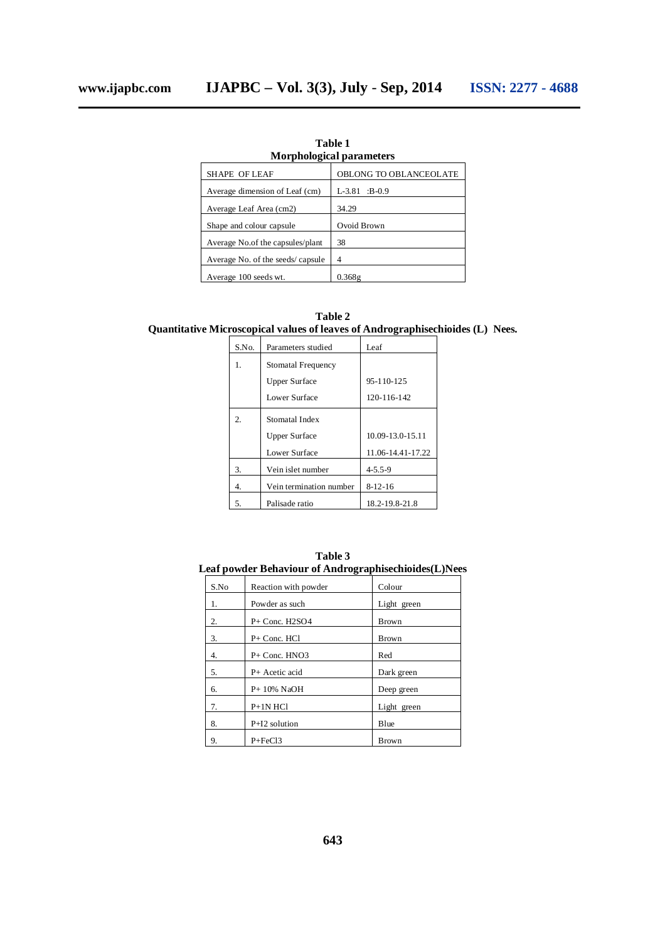| <b>Morphological parameters</b>  |                        |  |
|----------------------------------|------------------------|--|
| SHAPE OF LEAF                    | OBLONG TO OBLANCEOLATE |  |
| Average dimension of Leaf (cm)   | $L-3.81$ :B-0.9        |  |
| Average Leaf Area (cm2)          | 34.29                  |  |
| Shape and colour capsule         | Ovoid Brown            |  |
| Average No.of the capsules/plant | 38                     |  |
| Average No. of the seeds/capsule | 4                      |  |
| Average 100 seeds wt.            | 0.368g                 |  |

**Table 1**

**Table 2 Quantitative Microscopical values of leaves of Andrographisechioides (L) Nees.**

| S.No. | Parameters studied      | Leaf              |  |
|-------|-------------------------|-------------------|--|
| 1.    | Stomatal Frequency      |                   |  |
|       | <b>Upper Surface</b>    | $95 - 110 - 125$  |  |
|       | Lower Surface           | 120-116-142       |  |
| 2.    | Stomatal Index          |                   |  |
|       | <b>Upper Surface</b>    | 10.09-13.0-15.11  |  |
|       | Lower Surface           | 11.06-14.41-17.22 |  |
| 3.    | Vein islet number       | $4 - 5.5 - 9$     |  |
| 4.    | Vein termination number | $8-12-16$         |  |
| 5.    | Palisade ratio          | 18.2-19.8-21.8    |  |

| Table 3                                               |  |  |  |
|-------------------------------------------------------|--|--|--|
| Leaf powder Behaviour of Andrographisechioides(L)Nees |  |  |  |

| S.No | Reaction with powder | Colour       |
|------|----------------------|--------------|
| 1.   | Powder as such       | Light green  |
| 2.   | $P+$ Conc. H2SO4     | <b>Brown</b> |
| 3.   | $P+$ Conc. HCl       | <b>Brown</b> |
| 4.   | $P+$ Conc. HNO3      | Red          |
| 5.   | $P+$ Acetic acid     | Dark green   |
| 6.   | $P+10\%$ NaOH        | Deep green   |
| 7.   | $P+1N$ HCl           | Light green  |
| 8.   | $P+I2$ solution      | Blue         |
| 9.   | $P + FeCl3$          | Brown        |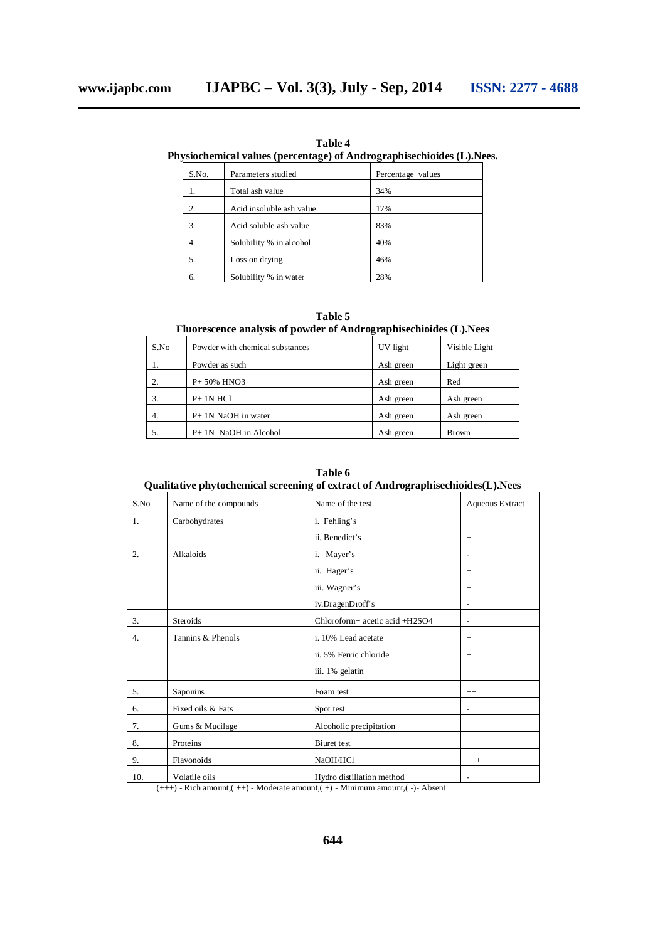**Table 4 Physiochemical values (percentage) of Andrographisechioides (L).Nees.**

| S.No. | Parameters studied       | Percentage values |
|-------|--------------------------|-------------------|
|       | Total ash value          | 34%               |
| 2.    | Acid insoluble ash value | 17%               |
| 3.    | Acid soluble ash value   | 83%               |
| 4.    | Solubility % in alcohol  | 40%               |
| 5.    | Loss on drying           | 46%               |
|       | Solubility % in water    | 28%               |

**Table 5 Fluorescence analysis of powder of Andrographisechioides (L).Nees**

| S.No | Powder with chemical substances | UV light  | Visible Light |
|------|---------------------------------|-----------|---------------|
|      | Powder as such                  | Ash green | Light green   |
| 2.   | P+50% HNO3                      | Ash green | Red           |
| 3.   | $P+1N$ HCl                      | Ash green | Ash green     |
| 4.   | P+ 1N NaOH in water             | Ash green | Ash green     |
|      | $P+1N$ NaOH in Alcohol          | Ash green | <b>Brown</b>  |

**Table 6 Qualitative phytochemical screening of extract of Andrographisechioides(L).Nees**

| S.No | Name of the compounds | Name of the test                                                                                         | Aqueous Extract          |
|------|-----------------------|----------------------------------------------------------------------------------------------------------|--------------------------|
| 1.   | Carbohydrates         | i. Fehling's                                                                                             | $++$                     |
|      |                       | ii. Benedict's                                                                                           | $^{+}$                   |
| 2.   | Alkaloids             | i. Mayer's                                                                                               |                          |
|      |                       | ii. Hager's                                                                                              | $+$                      |
|      |                       | iii. Wagner's                                                                                            | $+$                      |
|      |                       | iv.DragenDroff's                                                                                         |                          |
| 3.   | <b>Steroids</b>       | Chloroform+ acetic acid +H2SO4                                                                           | $\overline{a}$           |
| 4.   | Tannins & Phenols     | i. 10% Lead acetate                                                                                      | $+$                      |
|      |                       | ii. 5% Ferric chloride                                                                                   | $+$                      |
|      |                       | iii. 1% gelatin                                                                                          | $+$                      |
| 5.   | Saponins              | Foam test                                                                                                | $++$                     |
| 6.   | Fixed oils & Fats     | Spot test                                                                                                |                          |
| 7.   | Gums & Mucilage       | Alcoholic precipitation                                                                                  | $+$                      |
| 8.   | Proteins              | Biuret test                                                                                              | $++$                     |
| 9.   | Flavonoids            | NaOH/HCl                                                                                                 | $+++$                    |
| 10.  | Volatile oils         | Hydro distillation method<br>$(11)$ Pich emount $(11)$ Moderate emount $(1)$ Minimum emount $(2)$ Absent | $\overline{\phantom{0}}$ |

 $(++)$  - Rich amount, $(++)$  - Moderate amount, $(+)$  - Minimum amount, $(-)$ - Absent